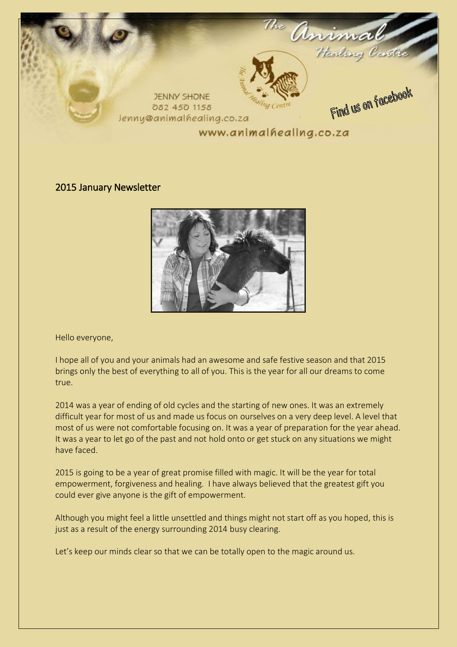

#### 2015 January Newsletter



Hello everyone,

I hope all of you and your animals had an awesome and safe festive season and that 2015 brings only the best of everything to all of you. This is the year for all our dreams to come true.

2014 was a year of ending of old cycles and the starting of new ones. It was an extremely difficult year for most of us and made us focus on ourselves on a very deep level. A level that most of us were not comfortable focusing on. It was a year of preparation for the year ahead. It was a year to let go of the past and not hold onto or get stuck on any situations we might have faced.

2015 is going to be a year of great promise filled with magic. It will be the year for total empowerment, forgiveness and healing. I have always believed that the greatest gift you could ever give anyone is the gift of empowerment.

Although you might feel a little unsettled and things might not start off as you hoped, this is just as a result of the energy surrounding 2014 busy clearing.

Let's keep our minds clear so that we can be totally open to the magic around us.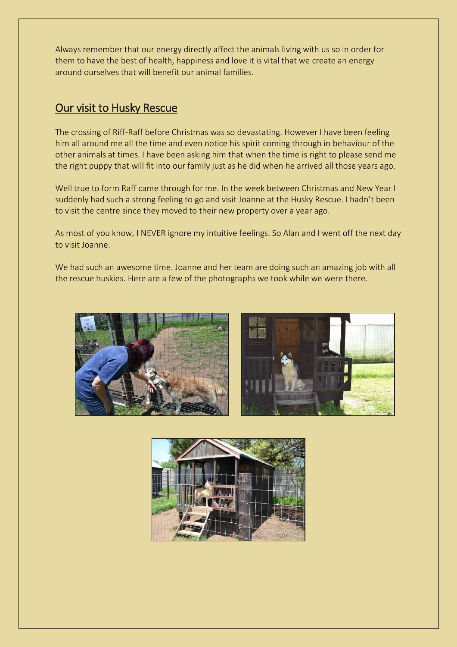Always remember that our energy directly affect the animals living with us so in order for them to have the best of health, happiness and love it is vital that we create an energy around ourselves that will benefit our animal families.

## Our visit to Husky Rescue

The crossing of Riff-Raff before Christmas was so devastating. However I have been feeling him all around me all the time and even notice his spirit coming through in behaviour of the other animals at times. I have been asking him that when the time is right to please send me the right puppy that will fit into our family just as he did when he arrived all those years ago.

Well true to form Raff came through for me. In the week between Christmas and New Year I suddenly had such a strong feeling to go and visit Joanne at the Husky Rescue. I hadn't been to visit the centre since they moved to their new property over a year ago.

As most of you know, I NEVER ignore my intuitive feelings. So Alan and I went off the next day to visit Joanne.

We had such an awesome time. Joanne and her team are doing such an amazing job with all the rescue huskies. Here are a few of the photographs we took while we were there.





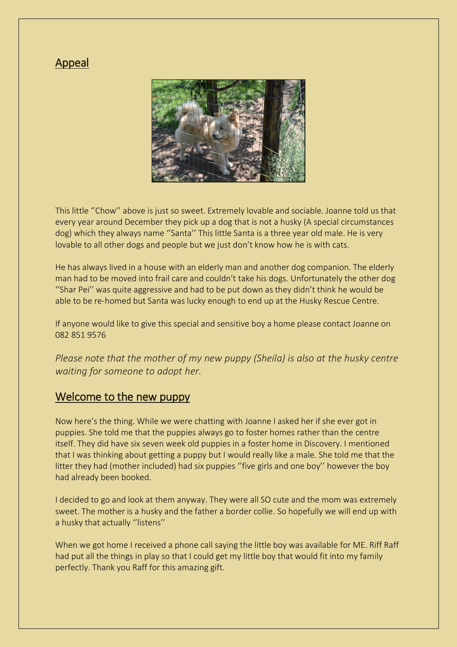### Appeal



This little ''Chow'' above is just so sweet. Extremely lovable and sociable. Joanne told us that every year around December they pick up a dog that is not a husky (A special circumstances dog) which they always name ''Santa'' This little Santa is a three year old male. He is very lovable to all other dogs and people but we just don't know how he is with cats.

He has always lived in a house with an elderly man and another dog companion. The elderly man had to be moved into frail care and couldn't take his dogs. Unfortunately the other dog ''Shar Pei'' was quite aggressive and had to be put down as they didn't think he would be able to be re-homed but Santa was lucky enough to end up at the Husky Rescue Centre.

If anyone would like to give this special and sensitive boy a home please contact Joanne on 082 851 9576

*Please note that the mother of my new puppy (Sheila) is also at the husky centre waiting for someone to adopt her.* 

### Welcome to the new puppy

Now here's the thing. While we were chatting with Joanne I asked her if she ever got in puppies. She told me that the puppies always go to foster homes rather than the centre itself. They did have six seven week old puppies in a foster home in Discovery. I mentioned that I was thinking about getting a puppy but I would really like a male. She told me that the litter they had (mother included) had six puppies "five girls and one boy" however the boy had already been booked.

I decided to go and look at them anyway. They were all SO cute and the mom was extremely sweet. The mother is a husky and the father a border collie. So hopefully we will end up with a husky that actually "listens"

When we got home I received a phone call saying the little boy was available for ME. Riff Raff had put all the things in play so that I could get my little boy that would fit into my family perfectly. Thank you Raff for this amazing gift.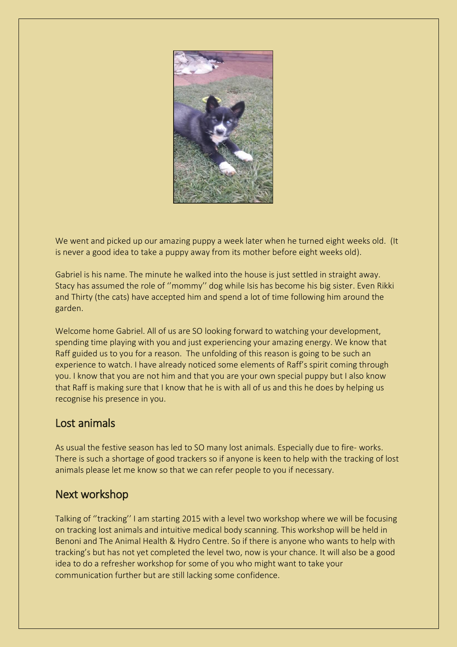

We went and picked up our amazing puppy a week later when he turned eight weeks old. (It is never a good idea to take a puppy away from its mother before eight weeks old).

Gabriel is his name. The minute he walked into the house is just settled in straight away. Stacy has assumed the role of ''mommy'' dog while Isis has become his big sister. Even Rikki and Thirty (the cats) have accepted him and spend a lot of time following him around the garden.

Welcome home Gabriel. All of us are SO looking forward to watching your development, spending time playing with you and just experiencing your amazing energy. We know that Raff guided us to you for a reason. The unfolding of this reason is going to be such an experience to watch. I have already noticed some elements of Raff's spirit coming through you. I know that you are not him and that you are your own special puppy but I also know that Raff is making sure that I know that he is with all of us and this he does by helping us recognise his presence in you.

### Lost animals

As usual the festive season has led to SO many lost animals. Especially due to fire- works. There is such a shortage of good trackers so if anyone is keen to help with the tracking of lost animals please let me know so that we can refer people to you if necessary.

# Next workshop

Talking of ''tracking'' I am starting 2015 with a level two workshop where we will be focusing on tracking lost animals and intuitive medical body scanning. This workshop will be held in Benoni and The Animal Health & Hydro Centre. So if there is anyone who wants to help with tracking's but has not yet completed the level two, now is your chance. It will also be a good idea to do a refresher workshop for some of you who might want to take your communication further but are still lacking some confidence.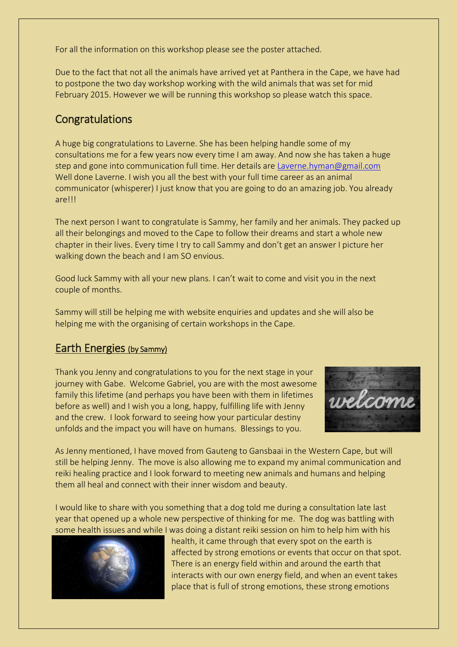For all the information on this workshop please see the poster attached.

Due to the fact that not all the animals have arrived yet at Panthera in the Cape, we have had to postpone the two day workshop working with the wild animals that was set for mid February 2015. However we will be running this workshop so please watch this space.

# **Congratulations**

A huge big congratulations to Laverne. She has been helping handle some of my consultations me for a few years now every time I am away. And now she has taken a huge step and gone into communication full time. Her details are [Laverne.hyman@gmail.com](mailto:Laverne.hyman@gmail.com) Well done Laverne. I wish you all the best with your full time career as an animal communicator (whisperer) I just know that you are going to do an amazing job. You already are!!!

The next person I want to congratulate is Sammy, her family and her animals. They packed up all their belongings and moved to the Cape to follow their dreams and start a whole new chapter in their lives. Every time I try to call Sammy and don't get an answer I picture her walking down the beach and I am SO envious.

Good luck Sammy with all your new plans. I can't wait to come and visit you in the next couple of months.

Sammy will still be helping me with website enquiries and updates and she will also be helping me with the organising of certain workshops in the Cape.

### Earth Energies (by Sammy)

Thank you Jenny and congratulations to you for the next stage in your journey with Gabe. Welcome Gabriel, you are with the most awesome family this lifetime (and perhaps you have been with them in lifetimes before as well) and I wish you a long, happy, fulfilling life with Jenny and the crew. I look forward to seeing how your particular destiny unfolds and the impact you will have on humans. Blessings to you.



As Jenny mentioned, I have moved from Gauteng to Gansbaai in the Western Cape, but will still be helping Jenny. The move is also allowing me to expand my animal communication and reiki healing practice and I look forward to meeting new animals and humans and helping them all heal and connect with their inner wisdom and beauty.

I would like to share with you something that a dog told me during a consultation late last year that opened up a whole new perspective of thinking for me. The dog was battling with some health issues and while I was doing a distant reiki session on him to help him with his



health, it came through that every spot on the earth is affected by strong emotions or events that occur on that spot. There is an energy field within and around the earth that interacts with our own energy field, and when an event takes place that is full of strong emotions, these strong emotions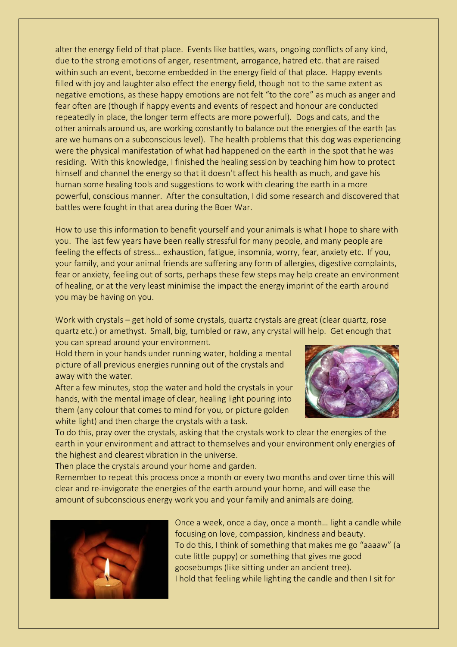alter the energy field of that place. Events like battles, wars, ongoing conflicts of any kind, due to the strong emotions of anger, resentment, arrogance, hatred etc. that are raised within such an event, become embedded in the energy field of that place. Happy events filled with joy and laughter also effect the energy field, though not to the same extent as negative emotions, as these happy emotions are not felt "to the core" as much as anger and fear often are (though if happy events and events of respect and honour are conducted repeatedly in place, the longer term effects are more powerful). Dogs and cats, and the other animals around us, are working constantly to balance out the energies of the earth (as are we humans on a subconscious level). The health problems that this dog was experiencing were the physical manifestation of what had happened on the earth in the spot that he was residing. With this knowledge, I finished the healing session by teaching him how to protect himself and channel the energy so that it doesn't affect his health as much, and gave his human some healing tools and suggestions to work with clearing the earth in a more powerful, conscious manner. After the consultation, I did some research and discovered that battles were fought in that area during the Boer War.

How to use this information to benefit yourself and your animals is what I hope to share with you. The last few years have been really stressful for many people, and many people are feeling the effects of stress… exhaustion, fatigue, insomnia, worry, fear, anxiety etc. If you, your family, and your animal friends are suffering any form of allergies, digestive complaints, fear or anxiety, feeling out of sorts, perhaps these few steps may help create an environment of healing, or at the very least minimise the impact the energy imprint of the earth around you may be having on you.

Work with crystals – get hold of some crystals, quartz crystals are great (clear quartz, rose quartz etc.) or amethyst. Small, big, tumbled or raw, any crystal will help. Get enough that you can spread around your environment.

Hold them in your hands under running water, holding a mental picture of all previous energies running out of the crystals and away with the water.

After a few minutes, stop the water and hold the crystals in your hands, with the mental image of clear, healing light pouring into them (any colour that comes to mind for you, or picture golden white light) and then charge the crystals with a task.



To do this, pray over the crystals, asking that the crystals work to clear the energies of the earth in your environment and attract to themselves and your environment only energies of the highest and clearest vibration in the universe.

Then place the crystals around your home and garden.

Remember to repeat this process once a month or every two months and over time this will clear and re-invigorate the energies of the earth around your home, and will ease the amount of subconscious energy work you and your family and animals are doing.



Once a week, once a day, once a month… light a candle while focusing on love, compassion, kindness and beauty. To do this, I think of something that makes me go "aaaaw" (a cute little puppy) or something that gives me good goosebumps (like sitting under an ancient tree). I hold that feeling while lighting the candle and then I sit for